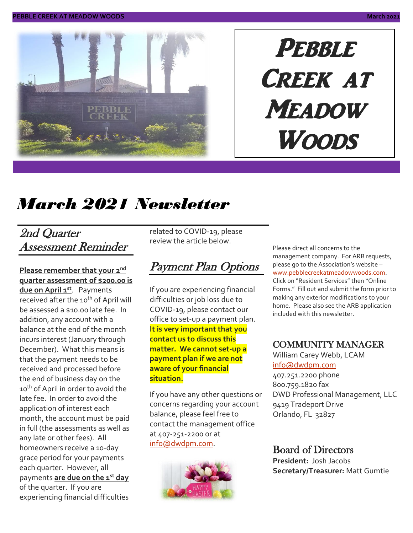

# PEBBLE CREEK AT **MEADOW Woods**

# *March 2021 Newsletter*

#### 2nd Quarter Assessment Reminder

#### **Please remember that your 2 nd quarter assessment of \$200.00 is**

**due on April 1 st** . Payments received after the 10<sup>th</sup> of April will be assessed a \$10.00 late fee. In addition, any account with a balance at the end of the month incurs interest (January through December). What this means is that the payment needs to be received and processed before the end of business day on the 10<sup>th</sup> of April in order to avoid the late fee. In order to avoid the application of interest each month, the account must be paid in full (the assessments as well as any late or other fees). All homeowners receive a 10-day grace period for your payments each quarter. However, all payments **are due on the 1st day** of the quarter. If you are experiencing financial difficulties

related to COVID-19, please review the article below.

### Payment Plan Options

If you are experiencing financial difficulties or job loss due to COVID-19, please contact our office to set-up a payment plan. **It is very important that you contact us to discuss this matter. We cannot set-up a payment plan if we are not aware of your financial situation.**

If you have any other questions or concerns regarding your account balance, please feel free to contact the management office at 407-251-2200 or at [info@dwdpm.com.](mailto:info@dwdpm.com)



Please direct all concerns to the management company. For ARB requests, please go to the Association's website – [www.pebblecreekatmeadowwoods.com.](http://www.pebblecreekatmeadowwoods.com/) Click on "Resident Services" then "Online Forms." Fill out and submit the form prior to making any exterior modifications to your home. Please also see the ARB application included with this newsletter.

#### COMMUNITY MANAGER

William Carey Webb, LCAM [info@dwdpm.com](mailto:info@dwdpm.com) 

407.251.2200 phone 800.759.1820 fax DWD Professional Management, LLC 9419 Tradeport Drive Orlando, FL 32827

#### Board of Directors

**President:** Josh Jacobs **Secretary/Treasurer:** Matt Gumtie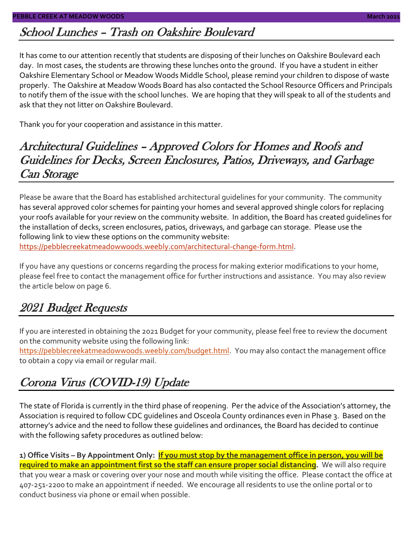### School Lunches – Trash on Oakshire Boulevard

It has come to our attention recently that students are disposing of their lunches on Oakshire Boulevard each day. In most cases, the students are throwing these lunches onto the ground. If you have a student in either Oakshire Elementary School or Meadow Woods Middle School, please remind your children to dispose of waste properly. The Oakshire at Meadow Woods Board has also contacted the School Resource Officers and Principals to notify them of the issue with the school lunches. We are hoping that they will speak to all of the students and ask that they not litter on Oakshire Boulevard.

Thank you for your cooperation and assistance in this matter.

#### Architectural Guidelines – Approved Colors for Homes and Roofs and Guidelines for Decks, Screen Enclosures, Patios, Driveways, and Garbage Can Storage

Please be aware that the Board has established architectural guidelines for your community. The community has several approved color schemes for painting your homes and several approved shingle colors for replacing your roofs available for your review on the community website. In addition, the Board has created guidelines for the installation of decks, screen enclosures, patios, driveways, and garbage can storage. Please use the following link to view these options on the community website: [https://pebblecreekatmeadowwoods.weebly.com/architectural-change-form.html.](https://pebblecreekatmeadowwoods.weebly.com/architectural-change-form.html)

If you have any questions or concerns regarding the process for making exterior modifications to your home, please feel free to contact the management office for further instructions and assistance. You may also review the article below on page 6.

### 2021 Budget Requests

If you are interested in obtaining the 2021 Budget for your community, please feel free to review the document on the community website using the following link:

[https://pebblecreekatmeadowwoods.weebly.com/budget.html.](https://pebblecreekatmeadowwoods.weebly.com/budget.html) You may also contact the management office to obtain a copy via email or regular mail.

### Corona Virus (COVID-19) Update

The state of Florida is currently in the third phase of reopening. Per the advice of the Association's attorney, the Association is required to follow CDC guidelines and Osceola County ordinances even in Phase 3. Based on the attorney's advice and the need to follow these guidelines and ordinances, the Board has decided to continue with the following safety procedures as outlined below:

**1) Office Visits – By Appointment Only: If you must stop by the management office in person, you will be required to make an appointment first so the staff can ensure proper social distancing.** We will also require that you wear a mask or covering over your nose and mouth while visiting the office. Please contact the office at 407-251-2200 to make an appointment if needed. We encourage all residents to use the online portal or to conduct business via phone or email when possible.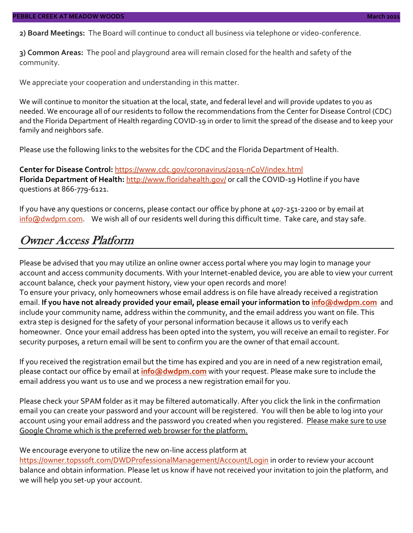**2) Board Meetings:** The Board will continue to conduct all business via telephone or video-conference.

**3) Common Areas:** The pool and playground area will remain closed for the health and safety of the community.

We appreciate your cooperation and understanding in this matter.

We will continue to monitor the situation at the local, state, and federal level and will provide updates to you as needed. We encourage all of our residents to follow the recommendations from the Center for Disease Control (CDC) and the Florida Department of Health regarding COVID-19 in order to limit the spread of the disease and to keep your family and neighbors safe.

Please use the following links to the websites for the CDC and the Florida Department of Health.

**Center for Disease Control:** <https://www.cdc.gov/coronavirus/2019-nCoV/index.html> Florida Department of Health: <http://www.floridahealth.gov/> or call the COVID-19 Hotline if you have questions at 866-779-6121.

If you have any questions or concerns, please contact our office by phone at 407-251-2200 or by email at [info@dwdpm.com.](mailto:info@dwdpm.com) We wish all of our residents well during this difficult time. Take care, and stay safe.

#### Owner Access Platform

Please be advised that you may utilize an online owner access portal where you may login to manage your account and access community documents. With your Internet-enabled device, you are able to view your current account balance, check your payment history, view your open records and more!

To ensure your privacy, only homeowners whose email address is on file have already received a registration email. **If you have not already provided your email, please email your information to [info@dwdpm.com](mailto:info@dwdpm.com)** and include your community name, address within the community, and the email address you want on file. This extra step is designed for the safety of your personal information because it allows us to verify each homeowner. Once your email address has been opted into the system, you will receive an email to register. For security purposes, a return email will be sent to confirm you are the owner of that email account.

If you received the registration email but the time has expired and you are in need of a new registration email, please contact our office by email at **[info@dwdpm.com](mailto:info@dwdpm.com)** with your request. Please make sure to include the email address you want us to use and we process a new registration email for you.

Please check your SPAM folder as it may be filtered automatically. After you click the link in the confirmation email you can create your password and your account will be registered. You will then be able to log into your account using your email address and the password you created when you registered. Please make sure to use Google Chrome which is the preferred web browser for the platform.

#### We encourage everyone to utilize the new on-line access platform at

<https://owner.topssoft.com/DWDProfessionalManagement/Account/Login> in order to review your account balance and obtain information. Please let us know if have not received your invitation to join the platform, and we will help you set-up your account.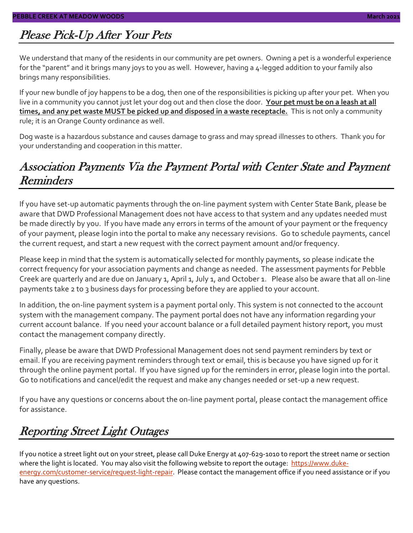### Please Pick-Up After Your Pets

We understand that many of the residents in our community are pet owners. Owning a pet is a wonderful experience for the "parent" and it brings many joys to you as well. However, having a 4-legged addition to your family also brings many responsibilities.

If your new bundle of joy happens to be a dog, then one of the responsibilities is picking up after your pet. When you live in a community you cannot just let your dog out and then close the door. **Your pet must be on a leash at all times, and any pet waste MUST be picked up and disposed in a waste receptacle.** This is not only a community rule; it is an Orange County ordinance as well.

Dog waste is a hazardous substance and causes damage to grass and may spread illnesses to others. Thank you for your understanding and cooperation in this matter.

### Association Payments Via the Payment Portal with Center State and Payment Reminders

If you have set-up automatic payments through the on-line payment system with Center State Bank, please be aware that DWD Professional Management does not have access to that system and any updates needed must be made directly by you. If you have made any errors in terms of the amount of your payment or the frequency of your payment, please login into the portal to make any necessary revisions. Go to schedule payments, cancel the current request, and start a new request with the correct payment amount and/or frequency.

Please keep in mind that the system is automatically selected for monthly payments, so please indicate the correct frequency for your association payments and change as needed. The assessment payments for Pebble Creek are quarterly and are due on January 1, April 1, July 1, and October 1. Please also be aware that all on-line payments take 2 to 3 business days for processing before they are applied to your account.

In addition, the on-line payment system is a payment portal only. This system is not connected to the account system with the management company. The payment portal does not have any information regarding your current account balance. If you need your account balance or a full detailed payment history report, you must contact the management company directly.

Finally, please be aware that DWD Professional Management does not send payment reminders by text or email. If you are receiving payment reminders through text or email, this is because you have signed up for it through the online payment portal. If you have signed up for the reminders in error, please login into the portal. Go to notifications and cancel/edit the request and make any changes needed or set-up a new request.

If you have any questions or concerns about the on-line payment portal, please contact the management office for assistance.

# Reporting Street Light Outages

If you notice a street light out on your street, please call Duke Energy at 407-629-1010 to report the street name or section where the light is located. You may also visit the following website to report the outage: [https://www.duke](https://www.duke-energy.com/customer-service/request-light-repair)[energy.com/customer-service/request-light-repair.](https://www.duke-energy.com/customer-service/request-light-repair) Please contact the management office if you need assistance or if you have any questions.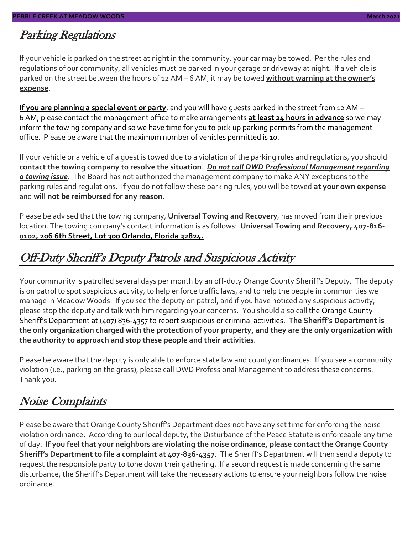#### Parking Regulations

If your vehicle is parked on the street at night in the community, your car may be towed. Per the rules and regulations of our community, all vehicles must be parked in your garage or driveway at night. If a vehicle is parked on the street between the hours of 12 AM – 6 AM, it may be towed **without warning at the owner's expense**.

**If you are planning a special event or party**, and you will have guests parked in the street from 12 AM – 6 AM, please contact the management office to make arrangements **at least 24 hours in advance** so we may inform the towing company and so we have time for you to pick up parking permits from the management office. Please be aware that the maximum number of vehicles permitted is 10.

If your vehicle or a vehicle of a guest is towed due to a violation of the parking rules and regulations, you should **contact the towing company to resolve the situation**. *Do not call DWD Professional Management regarding a towing issue*. The Board has not authorized the management company to make ANY exceptions to the parking rules and regulations. If you do not follow these parking rules, you will be towed **at your own expense** and **will not be reimbursed for any reason**.

Please be advised that the towing company, **Universal Towing and Recovery**, has moved from their previous location. The towing company's contact information is as follows: **Universal Towing and Recovery, 407-816- 0102, 206 6th Street, Lot 300 Orlando, Florida 32824.**

### Off-Duty Sheriff's Deputy Patrols and Suspicious Activity

Your community is patrolled several days per month by an off-duty Orange County Sheriff's Deputy. The deputy is on patrol to spot suspicious activity, to help enforce traffic laws, and to help the people in communities we manage in Meadow Woods. If you see the deputy on patrol, and if you have noticed any suspicious activity, please stop the deputy and talk with him regarding your concerns. You should also call the Orange County Sheriff's Department at (407) 836-4357 to report suspicious or criminal activities. **The Sheriff's Department is the only organization charged with the protection of your property, and they are the only organization with the authority to approach and stop these people and their activities**.

Please be aware that the deputy is only able to enforce state law and county ordinances. If you see a community violation (i.e., parking on the grass), please call DWD Professional Management to address these concerns. Thank you.

### Noise Complaints

Please be aware that Orange County Sheriff's Department does not have any set time for enforcing the noise violation ordinance. According to our local deputy, the Disturbance of the Peace Statute is enforceable any time of day. **If you feel that your neighbors are violating the noise ordinance, please contact the Orange County Sheriff's Department to file a complaint at 407-836-4357**. The Sheriff's Department will then send a deputy to request the responsible party to tone down their gathering. If a second request is made concerning the same disturbance, the Sheriff's Department will take the necessary actions to ensure your neighbors follow the noise ordinance.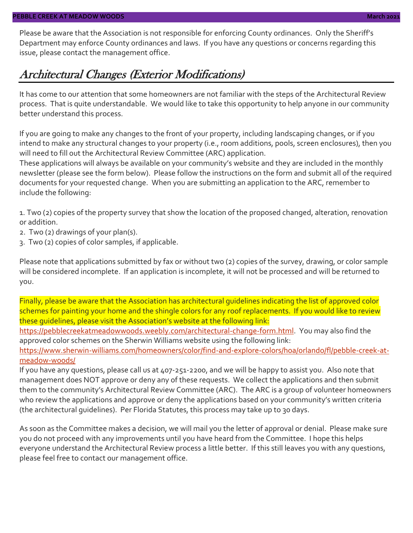Please be aware that the Association is not responsible for enforcing County ordinances. Only the Sheriff's Department may enforce County ordinances and laws. If you have any questions or concerns regarding this issue, please contact the management office.

#### Architectural Changes (Exterior Modifications)

It has come to our attention that some homeowners are not familiar with the steps of the Architectural Review process. That is quite understandable. We would like to take this opportunity to help anyone in our community better understand this process.

If you are going to make any changes to the front of your property, including landscaping changes, or if you intend to make any structural changes to your property (i.e., room additions, pools, screen enclosures), then you will need to fill out the Architectural Review Committee (ARC) application.

These applications will always be available on your community's website and they are included in the monthly newsletter (please see the form below). Please follow the instructions on the form and submit all of the required documents for your requested change. When you are submitting an application to the ARC, remember to include the following:

1. Two (2) copies of the property survey that show the location of the proposed changed, alteration, renovation or addition.

- 2. Two (2) drawings of your plan(s).
- 3. Two (2) copies of color samples, if applicable.

Please note that applications submitted by fax or without two (2) copies of the survey, drawing, or color sample will be considered incomplete. If an application is incomplete, it will not be processed and will be returned to you.

Finally, please be aware that the Association has architectural guidelines indicating the list of approved color schemes for painting your home and the shingle colors for any roof replacements. If you would like to review these guidelines, please visit the Association's website at the following link:

[https://pebblecreekatmeadowwoods.weebly.com/architectural-change-form.html.](https://pebblecreekatmeadowwoods.weebly.com/architectural-change-form.html) You may also find the approved color schemes on the Sherwin Williams website using the following link:

[https://www.sherwin-williams.com/homeowners/color/find-and-explore-colors/hoa/orlando/fl/pebble-creek-at](https://www.sherwin-williams.com/homeowners/color/find-and-explore-colors/hoa/orlando/fl/pebble-creek-at-meadow-woods/)[meadow-woods/](https://www.sherwin-williams.com/homeowners/color/find-and-explore-colors/hoa/orlando/fl/pebble-creek-at-meadow-woods/)

If you have any questions, please call us at 407-251-2200, and we will be happy to assist you. Also note that management does NOT approve or deny any of these requests. We collect the applications and then submit them to the community's Architectural Review Committee (ARC). The ARC is a group of volunteer homeowners who review the applications and approve or deny the applications based on your community's written criteria (the architectural guidelines). Per Florida Statutes, this process may take up to 30 days.

As soon as the Committee makes a decision, we will mail you the letter of approval or denial. Please make sure you do not proceed with any improvements until you have heard from the Committee. I hope this helps everyone understand the Architectural Review process a little better. If this still leaves you with any questions, please feel free to contact our management office.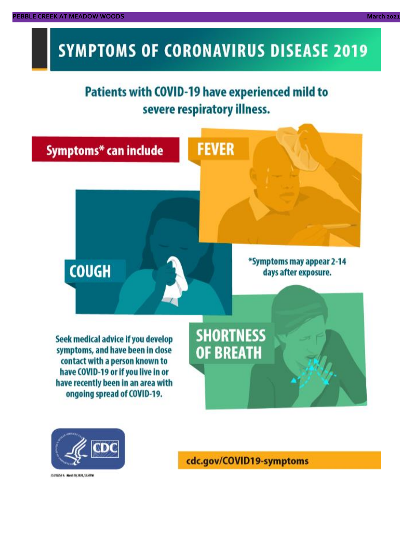# **SYMPTOMS OF CORONAVIRUS DISEASE 2019**

# **Patients with COVID-19 have experienced mild to** severe respiratory illness.





03/02/14 NovA20, 2020, 12:59 M

cdc.gov/COVID19-symptoms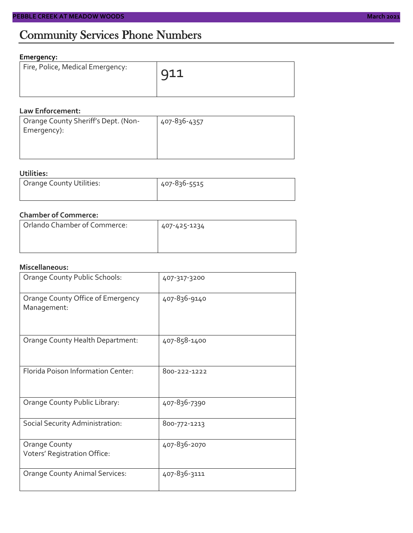### Community Services Phone Numbers

#### **Emergency:**

| Fire, Police, Medical Emergency: | $\overline{911}$ |
|----------------------------------|------------------|
|                                  |                  |

#### **Law Enforcement:**

| Orange County Sheriff's Dept. (Non- | 407-836-4357 |
|-------------------------------------|--------------|
| Emergency):                         |              |
|                                     |              |
|                                     |              |

#### **Utilities:**

| <b>Orange County Utilities:</b> | 407-836-5515 |
|---------------------------------|--------------|
|                                 |              |

#### **Chamber of Commerce:**

| Orlando Chamber of Commerce: | 407-425-1234 |
|------------------------------|--------------|
|                              |              |

#### **Miscellaneous:**

| Orange County Public Schools:                    | 407-317-3200 |
|--------------------------------------------------|--------------|
| Orange County Office of Emergency<br>Management: | 407-836-9140 |
| Orange County Health Department:                 | 407-858-1400 |
| Florida Poison Information Center:               | 800-222-1222 |
| Orange County Public Library:                    | 407-836-7390 |
| Social Security Administration:                  | 800-772-1213 |
| Orange County<br>Voters' Registration Office:    | 407-836-2070 |
| <b>Orange County Animal Services:</b>            | 407-836-3111 |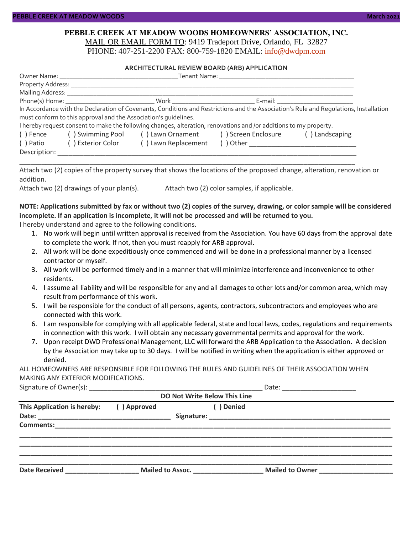#### **PEBBLE CREEK AT MEADOW WOODS HOMEOWNERS' ASSOCIATION, INC.** MAIL OR EMAIL FORM TO: 9419 Tradeport Drive, Orlando, FL 32827

PHONE: 407-251-2200 FAX: 800-759-1820 EMAIL: [info@dwdpm.com](mailto:info@dwdpm.com)

#### **ARCHITECTURAL REVIEW BOARD (ARB) APPLICATION**

|              |                                                                 |                                                                                                                   | Tenant Name: The contract of the contract of the contract of the contract of the contract of the contract of the contract of the contract of the contract of the contract of the contract of the contract of the contract of t |                                                                                                                                                                                                                                |
|--------------|-----------------------------------------------------------------|-------------------------------------------------------------------------------------------------------------------|--------------------------------------------------------------------------------------------------------------------------------------------------------------------------------------------------------------------------------|--------------------------------------------------------------------------------------------------------------------------------------------------------------------------------------------------------------------------------|
|              |                                                                 |                                                                                                                   |                                                                                                                                                                                                                                |                                                                                                                                                                                                                                |
|              | Mailing Address: _______________                                |                                                                                                                   |                                                                                                                                                                                                                                |                                                                                                                                                                                                                                |
|              |                                                                 |                                                                                                                   |                                                                                                                                                                                                                                | E-mail: E-mail: All and the second second second second second second second second second second second second second second second second second second second second second second second second second second second secon |
|              |                                                                 |                                                                                                                   |                                                                                                                                                                                                                                | In Accordance with the Declaration of Covenants, Conditions and Restrictions and the Association's Rule and Requlations, Installation                                                                                          |
|              | must conform to this approval and the Association's quidelines. |                                                                                                                   |                                                                                                                                                                                                                                |                                                                                                                                                                                                                                |
|              |                                                                 | I hereby request consent to make the following changes, alteration, renovations and /or additions to my property. |                                                                                                                                                                                                                                |                                                                                                                                                                                                                                |
| () Fence     | () Swimming Pool () Lawn Ornament () Screen Enclosure           |                                                                                                                   | () Landscaping                                                                                                                                                                                                                 |                                                                                                                                                                                                                                |
| () Patio     | () Exterior Color                                               | () Lawn Replacement                                                                                               |                                                                                                                                                                                                                                |                                                                                                                                                                                                                                |
| Description: |                                                                 |                                                                                                                   |                                                                                                                                                                                                                                |                                                                                                                                                                                                                                |

Attach two (2) copies of the property survey that shows the locations of the proposed change, alteration, renovation or addition.

\_\_\_\_\_\_\_\_\_\_\_\_\_\_\_\_\_\_\_\_\_\_\_\_\_\_\_\_\_\_\_\_\_\_\_\_\_\_\_\_\_\_\_\_\_\_\_\_\_\_\_\_\_\_\_\_\_\_\_\_\_\_\_\_\_\_\_\_\_\_\_\_\_\_\_\_\_\_\_\_\_\_\_\_\_\_\_\_\_\_\_

Attach two (2) drawings of your plan(s). Attach two (2) color samples, if applicable.

#### **NOTE: Applications submitted by fax or without two (2) copies of the survey, drawing, or color sample will be considered incomplete. If an application is incomplete, it will not be processed and will be returned to you.**

I hereby understand and agree to the following conditions.

- 1. No work will begin until written approval is received from the Association. You have 60 days from the approval date to complete the work. If not, then you must reapply for ARB approval.
- 2. All work will be done expeditiously once commenced and will be done in a professional manner by a licensed contractor or myself.
- 3. All work will be performed timely and in a manner that will minimize interference and inconvenience to other residents.
- 4. I assume all liability and will be responsible for any and all damages to other lots and/or common area, which may result from performance of this work.
- 5. I will be responsible for the conduct of all persons, agents, contractors, subcontractors and employees who are connected with this work.
- 6. I am responsible for complying with all applicable federal, state and local laws, codes, regulations and requirements in connection with this work. I will obtain any necessary governmental permits and approval for the work.
- 7. Upon receipt DWD Professional Management, LLC will forward the ARB Application to the Association. A decision by the Association may take up to 30 days. I will be notified in writing when the application is either approved or denied.

ALL HOMEOWNERS ARE RESPONSIBLE FOR FOLLOWING THE RULES AND GUIDELINES OF THEIR ASSOCIATION WHEN MAKING ANY EXTERIOR MODIFICATIONS.

|  | Signature of Owner(s): |  |
|--|------------------------|--|
|--|------------------------|--|

| DO Not Write Below This Line |                           |                                 |  |                 |  |  |
|------------------------------|---------------------------|---------------------------------|--|-----------------|--|--|
| This Application is hereby:  | ( ) Denied<br>() Approved |                                 |  |                 |  |  |
|                              |                           |                                 |  |                 |  |  |
|                              |                           |                                 |  |                 |  |  |
|                              |                           |                                 |  |                 |  |  |
|                              |                           |                                 |  |                 |  |  |
| <b>Date Received</b>         |                           | Mailed to Assoc. ______________ |  | Mailed to Owner |  |  |